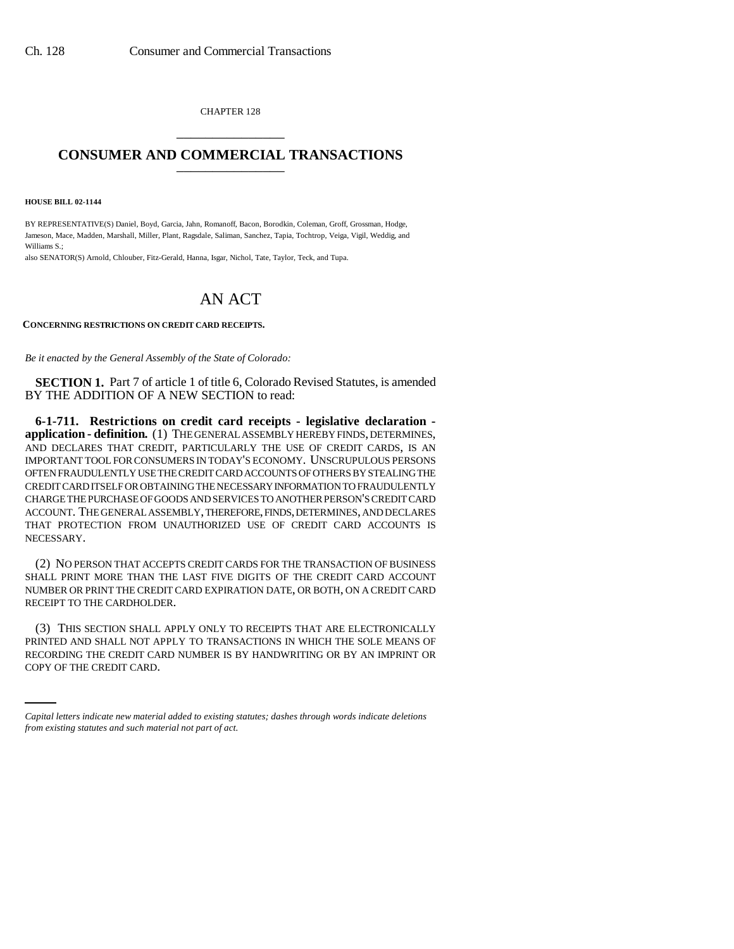CHAPTER 128 \_\_\_\_\_\_\_\_\_\_\_\_\_\_\_

## **CONSUMER AND COMMERCIAL TRANSACTIONS** \_\_\_\_\_\_\_\_\_\_\_\_\_\_\_

**HOUSE BILL 02-1144**

BY REPRESENTATIVE(S) Daniel, Boyd, Garcia, Jahn, Romanoff, Bacon, Borodkin, Coleman, Groff, Grossman, Hodge, Jameson, Mace, Madden, Marshall, Miller, Plant, Ragsdale, Saliman, Sanchez, Tapia, Tochtrop, Veiga, Vigil, Weddig, and Williams S.;

also SENATOR(S) Arnold, Chlouber, Fitz-Gerald, Hanna, Isgar, Nichol, Tate, Taylor, Teck, and Tupa.

## AN ACT

## **CONCERNING RESTRICTIONS ON CREDIT CARD RECEIPTS.**

*Be it enacted by the General Assembly of the State of Colorado:*

**SECTION 1.** Part 7 of article 1 of title 6, Colorado Revised Statutes, is amended BY THE ADDITION OF A NEW SECTION to read:

**6-1-711. Restrictions on credit card receipts - legislative declaration application - definition.** (1) THE GENERAL ASSEMBLY HEREBY FINDS, DETERMINES, AND DECLARES THAT CREDIT, PARTICULARLY THE USE OF CREDIT CARDS, IS AN IMPORTANT TOOL FOR CONSUMERS IN TODAY'S ECONOMY. UNSCRUPULOUS PERSONS OFTEN FRAUDULENTLY USE THE CREDIT CARD ACCOUNTS OF OTHERS BY STEALING THE CREDIT CARD ITSELF OR OBTAINING THE NECESSARY INFORMATION TO FRAUDULENTLY CHARGE THE PURCHASE OF GOODS AND SERVICES TO ANOTHER PERSON'S CREDIT CARD ACCOUNT. THE GENERAL ASSEMBLY, THEREFORE, FINDS, DETERMINES, AND DECLARES THAT PROTECTION FROM UNAUTHORIZED USE OF CREDIT CARD ACCOUNTS IS NECESSARY.

(2) NO PERSON THAT ACCEPTS CREDIT CARDS FOR THE TRANSACTION OF BUSINESS SHALL PRINT MORE THAN THE LAST FIVE DIGITS OF THE CREDIT CARD ACCOUNT NUMBER OR PRINT THE CREDIT CARD EXPIRATION DATE, OR BOTH, ON A CREDIT CARD RECEIPT TO THE CARDHOLDER.

PRINTED AND SHALL NOT APPLY TO TRANSACTIONS IN WHICH THE SOLE MEANS OF (3) THIS SECTION SHALL APPLY ONLY TO RECEIPTS THAT ARE ELECTRONICALLY RECORDING THE CREDIT CARD NUMBER IS BY HANDWRITING OR BY AN IMPRINT OR COPY OF THE CREDIT CARD.

*Capital letters indicate new material added to existing statutes; dashes through words indicate deletions from existing statutes and such material not part of act.*